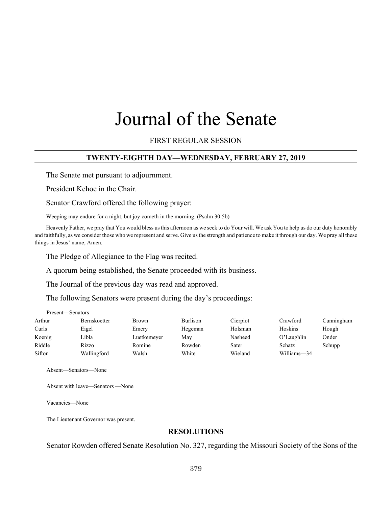# Journal of the Senate

FIRST REGULAR SESSION

## **TWENTY-EIGHTH DAY—WEDNESDAY, FEBRUARY 27, 2019**

The Senate met pursuant to adjournment.

President Kehoe in the Chair.

Senator Crawford offered the following prayer:

Weeping may endure for a night, but joy cometh in the morning. (Psalm 30:5b)

Heavenly Father, we pray that You would bless us this afternoon as we seek to do Your will. We ask You to help us do our duty honorably and faithfully, as we consider those who we represent and serve. Give us the strength and patience to make it through our day. We pray all these things in Jesus' name, Amen.

The Pledge of Allegiance to the Flag was recited.

A quorum being established, the Senate proceeded with its business.

The Journal of the previous day was read and approved.

The following Senators were present during the day's proceedings:

| Present—Senators |              |             |          |          |             |            |
|------------------|--------------|-------------|----------|----------|-------------|------------|
| Arthur           | Bernskoetter | Brown       | Burlison | Cierpiot | Crawford    | Cunningham |
| Curls            | Eigel        | Emery       | Hegeman  | Holsman  | Hoskins     | Hough      |
| Koenig           | Libla        | Luetkemeyer | Mav      | Nasheed  | O'Laughlin  | Onder      |
| Riddle           | Rizzo        | Romine      | Rowden   | Sater    | Schatz      | Schupp     |
| Sifton           | Wallingford  | Walsh       | White    | Wieland  | Williams-34 |            |

Absent—Senators—None

Absent with leave—Senators —None

Vacancies—None

The Lieutenant Governor was present.

## **RESOLUTIONS**

Senator Rowden offered Senate Resolution No. 327, regarding the Missouri Society of the Sons of the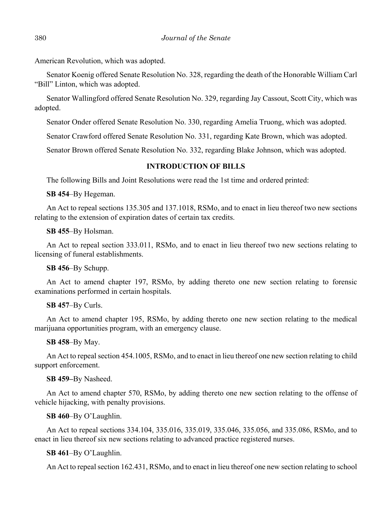American Revolution, which was adopted.

Senator Koenig offered Senate Resolution No. 328, regarding the death of the Honorable William Carl "Bill" Linton, which was adopted.

Senator Wallingford offered Senate Resolution No. 329, regarding Jay Cassout, Scott City, which was adopted.

Senator Onder offered Senate Resolution No. 330, regarding Amelia Truong, which was adopted.

Senator Crawford offered Senate Resolution No. 331, regarding Kate Brown, which was adopted.

Senator Brown offered Senate Resolution No. 332, regarding Blake Johnson, which was adopted.

## **INTRODUCTION OF BILLS**

The following Bills and Joint Resolutions were read the 1st time and ordered printed:

**SB 454**–By Hegeman.

An Act to repeal sections 135.305 and 137.1018, RSMo, and to enact in lieu thereof two new sections relating to the extension of expiration dates of certain tax credits.

**SB 455**–By Holsman.

An Act to repeal section 333.011, RSMo, and to enact in lieu thereof two new sections relating to licensing of funeral establishments.

**SB 456**–By Schupp.

An Act to amend chapter 197, RSMo, by adding thereto one new section relating to forensic examinations performed in certain hospitals.

## **SB 457**–By Curls.

An Act to amend chapter 195, RSMo, by adding thereto one new section relating to the medical marijuana opportunities program, with an emergency clause.

**SB 458**–By May.

An Act to repeal section 454.1005, RSMo, and to enact in lieu thereof one new section relating to child support enforcement.

**SB 459–**By Nasheed.

An Act to amend chapter 570, RSMo, by adding thereto one new section relating to the offense of vehicle hijacking, with penalty provisions.

**SB 460**–By O'Laughlin.

An Act to repeal sections 334.104, 335.016, 335.019, 335.046, 335.056, and 335.086, RSMo, and to enact in lieu thereof six new sections relating to advanced practice registered nurses.

**SB 461**–By O'Laughlin.

An Act to repeal section 162.431, RSMo, and to enact in lieu thereof one new section relating to school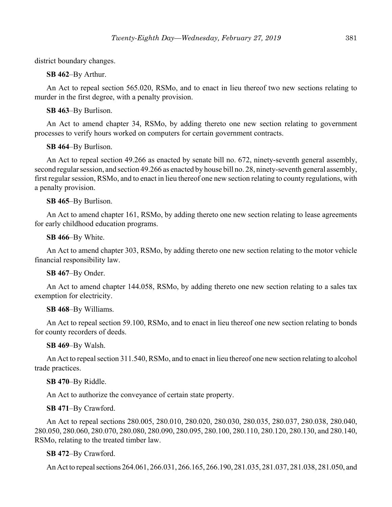district boundary changes.

**SB 462**–By Arthur.

An Act to repeal section 565.020, RSMo, and to enact in lieu thereof two new sections relating to murder in the first degree, with a penalty provision.

## **SB 463**–By Burlison.

An Act to amend chapter 34, RSMo, by adding thereto one new section relating to government processes to verify hours worked on computers for certain government contracts.

## **SB 464**–By Burlison.

An Act to repeal section 49.266 as enacted by senate bill no. 672, ninety-seventh general assembly, second regular session, and section 49.266 as enacted by house bill no. 28, ninety-seventh general assembly, first regular session, RSMo, and to enact in lieu thereof one new section relating to county regulations, with a penalty provision.

## **SB 465**–By Burlison.

An Act to amend chapter 161, RSMo, by adding thereto one new section relating to lease agreements for early childhood education programs.

## **SB 466**–By White.

An Act to amend chapter 303, RSMo, by adding thereto one new section relating to the motor vehicle financial responsibility law.

## **SB 467**–By Onder.

An Act to amend chapter 144.058, RSMo, by adding thereto one new section relating to a sales tax exemption for electricity.

## **SB 468**–By Williams.

An Act to repeal section 59.100, RSMo, and to enact in lieu thereof one new section relating to bonds for county recorders of deeds.

## **SB 469**–By Walsh.

An Act to repeal section 311.540, RSMo, and to enact in lieu thereof one new section relating to alcohol trade practices.

## **SB 470**–By Riddle.

An Act to authorize the conveyance of certain state property.

## **SB 471**–By Crawford.

An Act to repeal sections 280.005, 280.010, 280.020, 280.030, 280.035, 280.037, 280.038, 280.040, 280.050, 280.060, 280.070, 280.080, 280.090, 280.095, 280.100, 280.110, 280.120, 280.130, and 280.140, RSMo, relating to the treated timber law.

## **SB 472**–By Crawford.

An Act to repeal sections 264.061, 266.031, 266.165, 266.190, 281.035, 281.037, 281.038, 281.050, and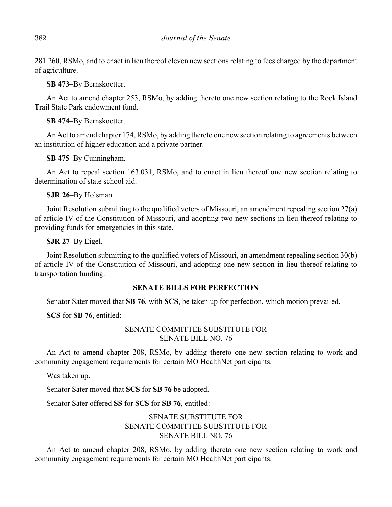281.260, RSMo, and to enact in lieu thereof eleven new sections relating to fees charged by the department of agriculture.

**SB 473**–By Bernskoetter.

An Act to amend chapter 253, RSMo, by adding thereto one new section relating to the Rock Island Trail State Park endowment fund.

**SB 474**–By Bernskoetter.

An Act to amend chapter 174, RSMo, by adding thereto one new section relating to agreements between an institution of higher education and a private partner.

**SB 475**–By Cunningham.

An Act to repeal section 163.031, RSMo, and to enact in lieu thereof one new section relating to determination of state school aid.

**SJR 26**–By Holsman.

Joint Resolution submitting to the qualified voters of Missouri, an amendment repealing section 27(a) of article IV of the Constitution of Missouri, and adopting two new sections in lieu thereof relating to providing funds for emergencies in this state.

**SJR 27**–By Eigel.

Joint Resolution submitting to the qualified voters of Missouri, an amendment repealing section 30(b) of article IV of the Constitution of Missouri, and adopting one new section in lieu thereof relating to transportation funding.

## **SENATE BILLS FOR PERFECTION**

Senator Sater moved that **SB 76**, with **SCS**, be taken up for perfection, which motion prevailed.

**SCS** for **SB 76**, entitled:

# SENATE COMMITTEE SUBSTITUTE FOR SENATE BILL NO. 76

An Act to amend chapter 208, RSMo, by adding thereto one new section relating to work and community engagement requirements for certain MO HealthNet participants.

Was taken up.

Senator Sater moved that **SCS** for **SB 76** be adopted.

Senator Sater offered **SS** for **SCS** for **SB 76**, entitled:

# SENATE SUBSTITUTE FOR SENATE COMMITTEE SUBSTITUTE FOR SENATE BILL NO. 76

An Act to amend chapter 208, RSMo, by adding thereto one new section relating to work and community engagement requirements for certain MO HealthNet participants.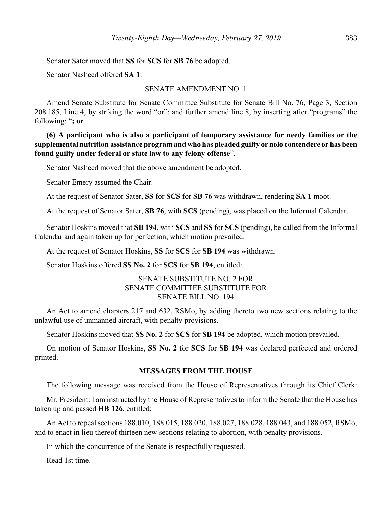Senator Sater moved that **SS** for **SCS** for **SB 76** be adopted.

Senator Nasheed offered **SA 1**:

## SENATE AMENDMENT NO. 1

Amend Senate Substitute for Senate Committee Substitute for Senate Bill No. 76, Page 3, Section 208.185, Line 4, by striking the word "or"; and further amend line 8, by inserting after "programs" the following: "**; or**

**(6) A participant who is also a participant of temporary assistance for needy families or the supplemental nutrition assistance program and who has pleaded guilty or nolo contendere or has been found guilty under federal or state law to any felony offense**".

Senator Nasheed moved that the above amendment be adopted.

Senator Emery assumed the Chair.

At the request of Senator Sater, **SS** for **SCS** for **SB 76** was withdrawn, rendering **SA 1** moot.

At the request of Senator Sater, **SB 76**, with **SCS** (pending), was placed on the Informal Calendar.

Senator Hoskins moved that **SB 194**, with **SCS** and **SS** for **SCS** (pending), be called from the Informal Calendar and again taken up for perfection, which motion prevailed.

At the request of Senator Hoskins, **SS** for **SCS** for **SB 194** was withdrawn.

Senator Hoskins offered **SS No. 2** for **SCS** for **SB 194**, entitled:

# SENATE SUBSTITUTE NO. 2 FOR SENATE COMMITTEE SUBSTITUTE FOR SENATE BILL NO. 194

An Act to amend chapters 217 and 632, RSMo, by adding thereto two new sections relating to the unlawful use of unmanned aircraft, with penalty provisions.

Senator Hoskins moved that **SS No. 2** for **SCS** for **SB 194** be adopted, which motion prevailed.

On motion of Senator Hoskins, **SS No. 2** for **SCS** for **SB 194** was declared perfected and ordered printed.

## **MESSAGES FROM THE HOUSE**

The following message was received from the House of Representatives through its Chief Clerk:

Mr. President: I am instructed by the House of Representatives to inform the Senate that the House has taken up and passed **HB 126**, entitled:

An Act to repeal sections 188.010, 188.015, 188.020, 188.027, 188.028, 188.043, and 188.052, RSMo, and to enact in lieu thereof thirteen new sections relating to abortion, with penalty provisions.

In which the concurrence of the Senate is respectfully requested.

Read 1st time.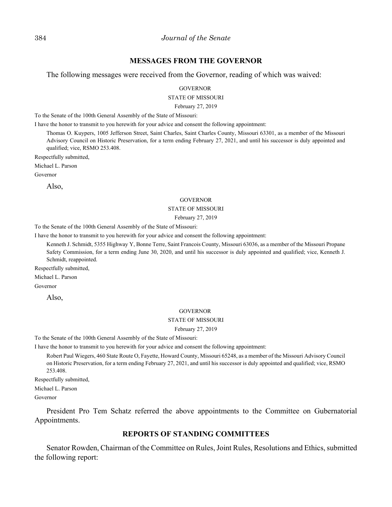## **MESSAGES FROM THE GOVERNOR**

The following messages were received from the Governor, reading of which was waived:

**GOVERNOR** 

STATE OF MISSOURI

February 27, 2019

To the Senate of the 100th General Assembly of the State of Missouri:

I have the honor to transmit to you herewith for your advice and consent the following appointment:

Thomas O. Kuypers, 1005 Jefferson Street, Saint Charles, Saint Charles County, Missouri 63301, as a member of the Missouri Advisory Council on Historic Preservation, for a term ending February 27, 2021, and until his successor is duly appointed and qualified; vice, RSMO 253.408.

Respectfully submitted,

Michael L. Parson

Governor

Also,

#### **GOVERNOR**

#### STATE OF MISSOURI

#### February 27, 2019

To the Senate of the 100th General Assembly of the State of Missouri:

I have the honor to transmit to you herewith for your advice and consent the following appointment:

Kenneth J. Schmidt, 5355 Highway Y, Bonne Terre, Saint Francois County, Missouri 63036, as a member of the Missouri Propane Safety Commission, for a term ending June 30, 2020, and until his successor is duly appointed and qualified; vice, Kenneth J. Schmidt, reappointed.

Respectfully submitted,

Michael L. Parson

Governor

Also,

#### **GOVERNOR**

#### STATE OF MISSOURI

February 27, 2019

To the Senate of the 100th General Assembly of the State of Missouri:

I have the honor to transmit to you herewith for your advice and consent the following appointment:

Robert Paul Wiegers, 460 State Route O, Fayette, Howard County, Missouri 65248, as a member of the Missouri Advisory Council on Historic Preservation, for a term ending February 27, 2021, and until his successor is duly appointed and qualified; vice, RSMO 253.408.

Respectfully submitted, Michael L. Parson

Governor

President Pro Tem Schatz referred the above appointments to the Committee on Gubernatorial Appointments.

## **REPORTS OF STANDING COMMITTEES**

Senator Rowden, Chairman of the Committee on Rules, Joint Rules, Resolutions and Ethics, submitted the following report: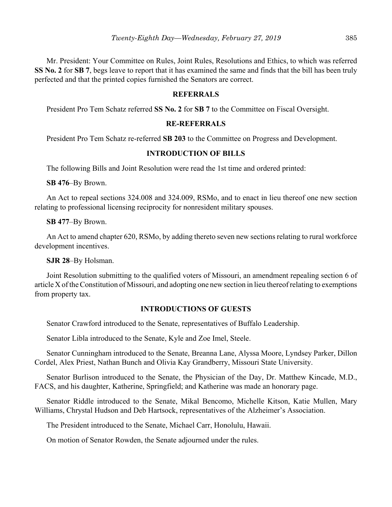Mr. President: Your Committee on Rules, Joint Rules, Resolutions and Ethics, to which was referred **SS No. 2** for **SB 7**, begs leave to report that it has examined the same and finds that the bill has been truly perfected and that the printed copies furnished the Senators are correct.

## **REFERRALS**

President Pro Tem Schatz referred **SS No. 2** for **SB 7** to the Committee on Fiscal Oversight.

## **RE-REFERRALS**

President Pro Tem Schatz re-referred **SB 203** to the Committee on Progress and Development.

## **INTRODUCTION OF BILLS**

The following Bills and Joint Resolution were read the 1st time and ordered printed:

**SB 476**–By Brown.

An Act to repeal sections 324.008 and 324.009, RSMo, and to enact in lieu thereof one new section relating to professional licensing reciprocity for nonresident military spouses.

**SB 477**–By Brown.

An Act to amend chapter 620, RSMo, by adding thereto seven new sections relating to rural workforce development incentives.

**SJR 28**–By Holsman.

Joint Resolution submitting to the qualified voters of Missouri, an amendment repealing section 6 of article X of the Constitution of Missouri, and adopting one new section in lieu thereof relating to exemptions from property tax.

## **INTRODUCTIONS OF GUESTS**

Senator Crawford introduced to the Senate, representatives of Buffalo Leadership.

Senator Libla introduced to the Senate, Kyle and Zoe Imel, Steele.

Senator Cunningham introduced to the Senate, Breanna Lane, Alyssa Moore, Lyndsey Parker, Dillon Cordel, Alex Priest, Nathan Bunch and Olivia Kay Grandberry, Missouri State University.

Senator Burlison introduced to the Senate, the Physician of the Day, Dr. Matthew Kincade, M.D., FACS, and his daughter, Katherine, Springfield; and Katherine was made an honorary page.

Senator Riddle introduced to the Senate, Mikal Bencomo, Michelle Kitson, Katie Mullen, Mary Williams, Chrystal Hudson and Deb Hartsock, representatives of the Alzheimer's Association.

The President introduced to the Senate, Michael Carr, Honolulu, Hawaii.

On motion of Senator Rowden, the Senate adjourned under the rules.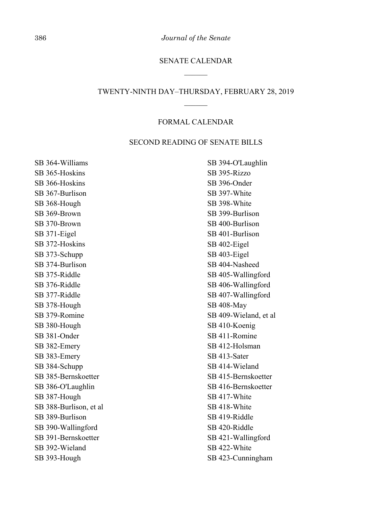386 *Journal of the Senate*

## SENATE CALENDAR

## TWENTY-NINTH DAY–THURSDAY, FEBRUARY 28, 2019

## FORMAL CALENDAR

## SECOND READING OF SENATE BILLS

SB 364-Williams SB 365-Hoskins SB 366-Hoskins SB 367-Burlison SB 368-Hough SB 369-Brown SB 370-Brown SB 371-Eigel SB 372-Hoskins SB 373-Schupp SB 374-Burlison SB 375-Riddle SB 376-Riddle SB 377-Riddle SB 378-Hough SB 379-Romine SB 380-Hough SB 381-Onder SB 382-Emery SB 383-Emery SB 384-Schupp SB 385-Bernskoetter SB 386-O'Laughlin SB 387-Hough SB 388-Burlison, et al SB 389-Burlison SB 390-Wallingford SB 391-Bernskoetter SB 392-Wieland SB 393-Hough

SB 394-O'Laughlin SB 395-Rizzo SB 396-Onder SB 397-White SB 398-White SB 399-Burlison SB 400-Burlison SB 401-Burlison SB 402-Eigel SB 403-Eigel SB 404-Nasheed SB 405-Wallingford SB 406-Wallingford SB 407-Wallingford SB 408-May SB 409-Wieland, et al SB 410-Koenig SB 411-Romine SB 412-Holsman SB 413-Sater SB 414-Wieland SB 415-Bernskoetter SB 416-Bernskoetter SB 417-White SB 418-White SB 419-Riddle SB 420-Riddle SB 421-Wallingford SB 422-White SB 423-Cunningham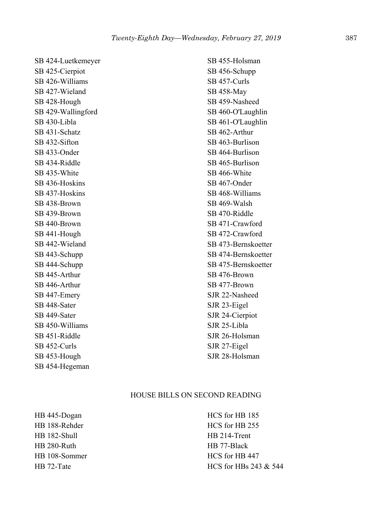SB 424-Luetkemeyer SB 425-Cierpiot SB 426-Williams SB 427-Wieland SB 428-Hough SB 429-Wallingford SB 430-Libla SB 431-Schatz SB 432-Sifton SB 433-Onder SB 434-Riddle SB 435-White SB 436-Hoskins SB 437-Hoskins SB 438-Brown SB 439-Brown SB 440-Brown SB 441-Hough SB 442-Wieland SB 443-Schupp SB 444-Schupp SB 445-Arthur SB 446-Arthur SB 447-Emery SB 448-Sater SB 449-Sater SB 450-Williams SB 451-Riddle SB 452-Curls SB 453-Hough SB 454-Hegeman

SB 455-Holsman SB 456-Schupp SB 457-Curls SB 458-May SB 459-Nasheed SB 460-O'Laughlin SB 461-O'Laughlin SB 462-Arthur SB 463-Burlison SB 464-Burlison SB 465-Burlison SB 466-White SB 467-Onder SB 468-Williams SB 469-Walsh SB 470-Riddle SB 471-Crawford SB 472-Crawford SB 473-Bernskoetter SB 474-Bernskoetter SB 475-Bernskoetter SB 476-Brown SB 477-Brown SJR 22-Nasheed SJR 23-Eigel SJR 24-Cierpiot SJR 25-Libla SJR 26-Holsman SJR 27-Eigel SJR 28-Holsman

## HOUSE BILLS ON SECOND READING

HB 445-Dogan HB 188-Rehder HB 182-Shull HB 280-Ruth HB 108-Sommer HB 72-Tate

HCS for HB 185 HCS for HB 255 HB 214-Trent HB 77-Black HCS for HB 447 HCS for HBs 243 & 544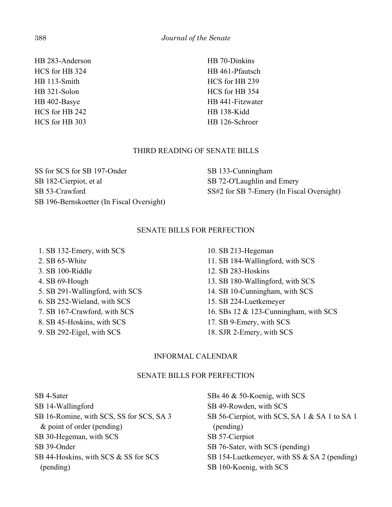HB 283-Anderson HCS for HB 324 HB 113-Smith HB 321-Solon HB 402-Basye HCS for HB 242 HCS for HB 303

HB 70-Dinkins HB 461-Pfautsch HCS for HB 239 HCS for HB 354 HB 441-Fitzwater HB 138-Kidd HB 126-Schroer

## THIRD READING OF SENATE BILLS

SS for SCS for SB 197-Onder SB 182-Cierpiot, et al SB 53-Crawford SB 196-Bernskoetter (In Fiscal Oversight) SB 133-Cunningham SB 72-O'Laughlin and Emery SS#2 for SB 7-Emery (In Fiscal Oversight)

## SENATE BILLS FOR PERFECTION

1. SB 132-Emery, with SCS

- 2. SB 65-White
- 3. SB 100-Riddle
- 4. SB 69-Hough
- 5. SB 291-Wallingford, with SCS
- 6. SB 252-Wieland, with SCS
- 7. SB 167-Crawford, with SCS
- 8. SB 45-Hoskins, with SCS
- 9. SB 292-Eigel, with SCS

10. SB 213-Hegeman 11. SB 184-Wallingford, with SCS 12. SB 283-Hoskins 13. SB 180-Wallingford, with SCS 14. SB 10-Cunningham, with SCS 15. SB 224-Luetkemeyer 16. SBs 12 & 123-Cunningham, with SCS 17. SB 9-Emery, with SCS 18. SJR 2-Emery, with SCS

# INFORMAL CALENDAR

## SENATE BILLS FOR PERFECTION

SB 4-Sater SB 14-Wallingford SB 16-Romine, with SCS, SS for SCS, SA 3 & point of order (pending) SB 30-Hegeman, with SCS SB 39-Onder SB 44-Hoskins, with SCS & SS for SCS (pending)

SBs 46 & 50-Koenig, with SCS SB 49-Rowden, with SCS SB 56-Cierpiot, with SCS, SA 1 & SA 1 to SA 1 (pending) SB 57-Cierpiot SB 76-Sater, with SCS (pending) SB 154-Luetkemeyer, with SS & SA 2 (pending) SB 160-Koenig, with SCS